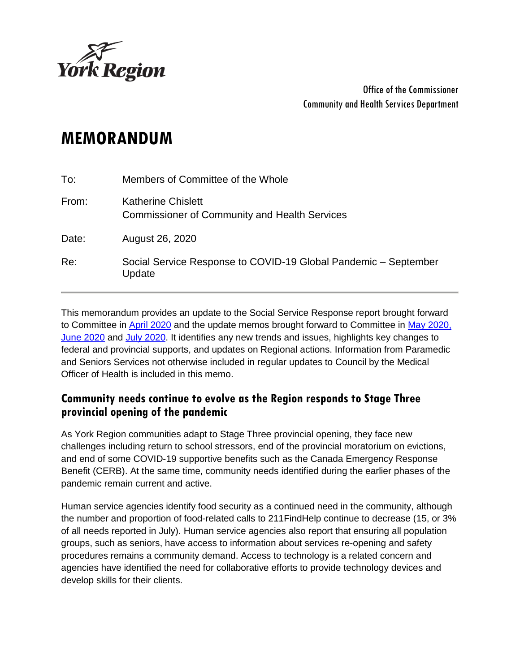

Office of the Commissioner Community and Health Services Department

# **MEMORANDUM**

| To:   | Members of Committee of the Whole                                          |
|-------|----------------------------------------------------------------------------|
| From: | Katherine Chislett<br><b>Commissioner of Community and Health Services</b> |
| Date: | August 26, 2020                                                            |
| Re:   | Social Service Response to COVID-19 Global Pandemic - September<br>Update  |

This memorandum provides an update to the Social Service Response report brought forward to Committee in [April 2020](https://yorkpublishing.escribemeetings.com/Meeting.aspx?Id=4b5fb28b-ce30-42bb-9f3e-0328f5a33156&Agenda=Merged&lang=English&Item=55) and the update memos brought forward to Committee in [May 2020,](https://yorkpublishing.escribemeetings.com/filestream.ashx?DocumentId=12536) [June 2020](https://yorkpublishing.escribemeetings.com/filestream.ashx?DocumentId=13023) and [July 2020.](https://yorkpublishing.escribemeetings.com/Meeting.aspx?Id=85e2a292-a9be-41ee-b1e3-0474af6deffc&Agenda=Merged&lang=English&Item=13) It identifies any new trends and issues, highlights key changes to federal and provincial supports, and updates on Regional actions. Information from Paramedic and Seniors Services not otherwise included in regular updates to Council by the Medical Officer of Health is included in this memo.

## **Community needs continue to evolve as the Region responds to Stage Three provincial opening of the pandemic**

As York Region communities adapt to Stage Three provincial opening, they face new challenges including return to school stressors, end of the provincial moratorium on evictions, and end of some COVID-19 supportive benefits such as the Canada Emergency Response Benefit (CERB). At the same time, community needs identified during the earlier phases of the pandemic remain current and active.

Human service agencies identify food security as a continued need in the community, although the number and proportion of food-related calls to 211FindHelp continue to decrease (15, or 3% of all needs reported in July). Human service agencies also report that ensuring all population groups, such as seniors, have access to information about services re-opening and safety procedures remains a community demand. Access to technology is a related concern and agencies have identified the need for collaborative efforts to provide technology devices and develop skills for their clients.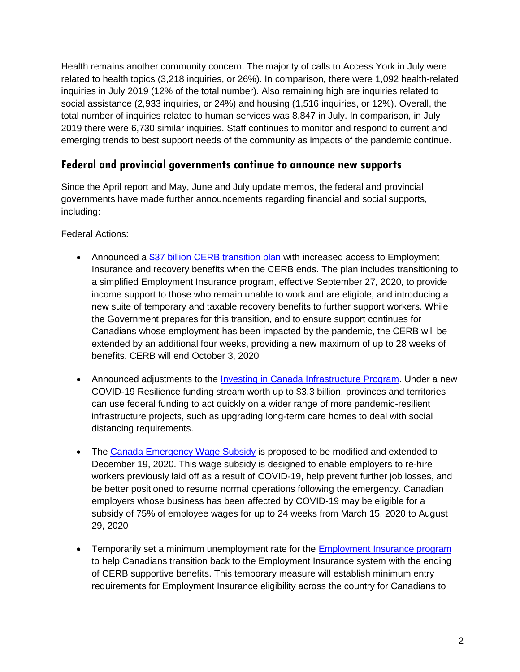Health remains another community concern. The majority of calls to Access York in July were related to health topics (3,218 inquiries, or 26%). In comparison, there were 1,092 health-related inquiries in July 2019 (12% of the total number). Also remaining high are inquiries related to social assistance (2,933 inquiries, or 24%) and housing (1,516 inquiries, or 12%). Overall, the total number of inquiries related to human services was 8,847 in July. In comparison, in July 2019 there were 6,730 similar inquiries. Staff continues to monitor and respond to current and emerging trends to best support needs of the community as impacts of the pandemic continue.

## **Federal and provincial governments continue to announce new supports**

Since the April report and May, June and July update memos, the federal and provincial governments have made further announcements regarding financial and social supports, including:

Federal Actions:

- Announced a [\\$37 billion CERB transition plan](https://www.canada.ca/en/employment-social-development/news/2020/08/supporting-canadians-through-the-next-phase-of-the-economy-re-opening-increased-access-to-ei-and-recovery-benefits.html) with increased access to Employment Insurance and recovery benefits when the CERB ends. The plan includes transitioning to a simplified Employment Insurance program, effective September 27, 2020, to provide income support to those who remain unable to work and are eligible, and introducing a new suite of temporary and taxable recovery benefits to further support workers. While the Government prepares for this transition, and to ensure support continues for Canadians whose employment has been impacted by the pandemic, the CERB will be extended by an additional four weeks, providing a new maximum of up to 28 weeks of benefits. CERB will end October 3, 2020
- Announced adjustments to the [Investing in Canada Infrastructure Program.](https://www.canada.ca/en/office-infrastructure/news/2020/08/infrastructure-program-expands-to-support-covid-19-community-resilience.html) Under a new COVID-19 Resilience funding stream worth up to \$3.3 billion, provinces and territories can use federal funding to act quickly on a wider range of more pandemic-resilient infrastructure projects, such as upgrading long-term care homes to deal with social distancing requirements.
- The [Canada Emergency Wage Subsidy](https://www.canada.ca/en/revenue-agency/services/subsidy/emergency-wage-subsidy.html) is proposed to be modified and extended to December 19, 2020. This wage subsidy is designed to enable employers to re-hire workers previously laid off as a result of COVID-19, help prevent further job losses, and be better positioned to resume normal operations following the emergency. Canadian employers whose business has been affected by COVID-19 may be eligible for a subsidy of 75% of employee wages for up to 24 weeks from March 15, 2020 to August 29, 2020
- Temporarily set a minimum unemployment rate for the [Employment Insurance program](https://www.canada.ca/en/employment-social-development/news/2020/08/government-of-canada-temporarily-sets-a-minimum-unemployment-rate-for-the-employment-insurance-program.html) to help Canadians transition back to the Employment Insurance system with the ending of CERB supportive benefits. This temporary measure will establish minimum entry requirements for Employment Insurance eligibility across the country for Canadians to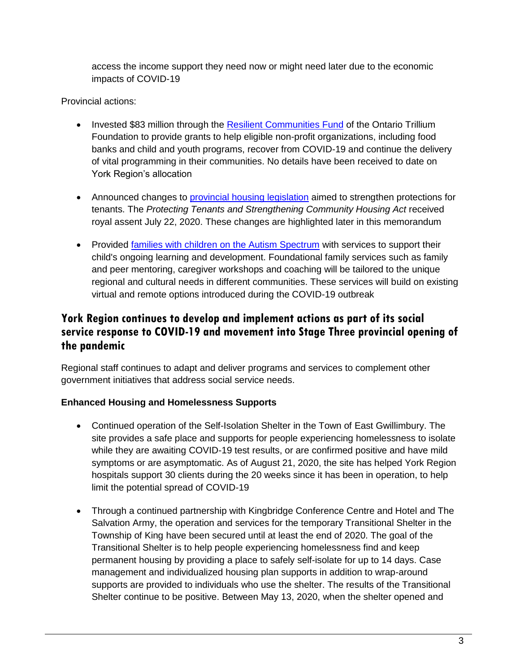access the income support they need now or might need later due to the economic impacts of COVID-19

#### Provincial actions:

- Invested \$83 million through the [Resilient Communities Fund](https://news.ontario.ca/opo/en/2020/08/ontario-supporting-non-profits-as-province-recovers-from-covid-19.html?utm_source=ondemand&utm_medium=email&utm_campaign=p) of the Ontario Trillium Foundation to provide grants to help eligible non-profit organizations, including food banks and child and youth programs, recover from COVID-19 and continue the delivery of vital programming in their communities. No details have been received to date on York Region's allocation
- Announced changes to [provincial housing legislation](https://news.ontario.ca/mma/en/2020/07/ontario-strengthens-protections-for-tenants.html?utm_source=ondemand&utm_medium=email&utm_campaign=p) aimed to strengthen protections for tenants. The *Protecting Tenants and Strengthening Community Housing Act* received royal assent July 22, 2020. These changes are highlighted later in this memorandum
- Provided [families with children on the Autism Spectrum](https://news.ontario.ca/mcys/en/2020/08/ontario-provides-more-supports-for-families-of-children-on-the-autism-spectrum.html?utm_source=ondemand&utm_medium=email&utm_campaign=p) with services to support their child's ongoing learning and development. Foundational family services such as family and peer mentoring, caregiver workshops and coaching will be tailored to the unique regional and cultural needs in different communities. These services will build on existing virtual and remote options introduced during the COVID-19 outbreak

# **York Region continues to develop and implement actions as part of its social service response to COVID-19 and movement into Stage Three provincial opening of the pandemic**

Regional staff continues to adapt and deliver programs and services to complement other government initiatives that address social service needs.

#### **Enhanced Housing and Homelessness Supports**

- Continued operation of the Self-Isolation Shelter in the Town of East Gwillimbury. The site provides a safe place and supports for people experiencing homelessness to isolate while they are awaiting COVID-19 test results, or are confirmed positive and have mild symptoms or are asymptomatic. As of August 21, 2020, the site has helped York Region hospitals support 30 clients during the 20 weeks since it has been in operation, to help limit the potential spread of COVID-19
- Through a continued partnership with Kingbridge Conference Centre and Hotel and The Salvation Army, the operation and services for the temporary Transitional Shelter in the Township of King have been secured until at least the end of 2020. The goal of the Transitional Shelter is to help people experiencing homelessness find and keep permanent housing by providing a place to safely self-isolate for up to 14 days. Case management and individualized housing plan supports in addition to wrap-around supports are provided to individuals who use the shelter. The results of the Transitional Shelter continue to be positive. Between May 13, 2020, when the shelter opened and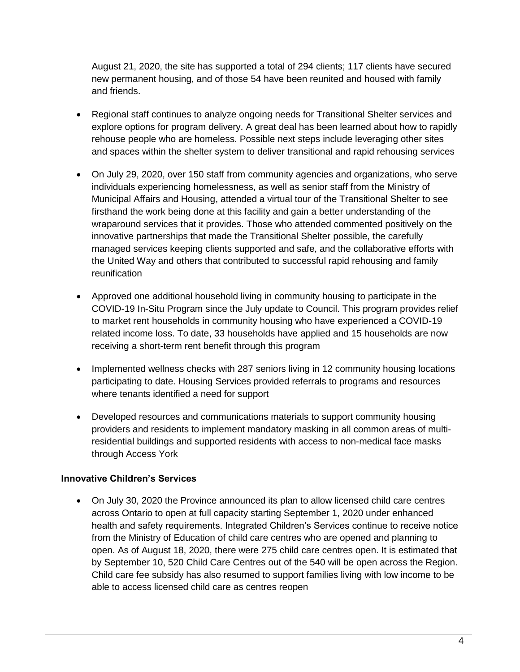August 21, 2020, the site has supported a total of 294 clients; 117 clients have secured new permanent housing, and of those 54 have been reunited and housed with family and friends.

- Regional staff continues to analyze ongoing needs for Transitional Shelter services and explore options for program delivery. A great deal has been learned about how to rapidly rehouse people who are homeless. Possible next steps include leveraging other sites and spaces within the shelter system to deliver transitional and rapid rehousing services
- On July 29, 2020, over 150 staff from community agencies and organizations, who serve individuals experiencing homelessness, as well as senior staff from the Ministry of Municipal Affairs and Housing, attended a virtual tour of the Transitional Shelter to see firsthand the work being done at this facility and gain a better understanding of the wraparound services that it provides. Those who attended commented positively on the innovative partnerships that made the Transitional Shelter possible, the carefully managed services keeping clients supported and safe, and the collaborative efforts with the United Way and others that contributed to successful rapid rehousing and family reunification
- Approved one additional household living in community housing to participate in the COVID-19 In-Situ Program since the July update to Council. This program provides relief to market rent households in community housing who have experienced a COVID-19 related income loss. To date, 33 households have applied and 15 households are now receiving a short-term rent benefit through this program
- Implemented wellness checks with 287 seniors living in 12 community housing locations participating to date. Housing Services provided referrals to programs and resources where tenants identified a need for support
- Developed resources and communications materials to support community housing providers and residents to implement mandatory masking in all common areas of multiresidential buildings and supported residents with access to non-medical face masks through Access York

#### **Innovative Children's Services**

 On July 30, 2020 the Province announced its plan to allow licensed child care centres across Ontario to open at full capacity starting September 1, 2020 under enhanced health and safety requirements. Integrated Children's Services continue to receive notice from the Ministry of Education of child care centres who are opened and planning to open. As of August 18, 2020, there were 275 child care centres open. It is estimated that by September 10, 520 Child Care Centres out of the 540 will be open across the Region. Child care fee subsidy has also resumed to support families living with low income to be able to access licensed child care as centres reopen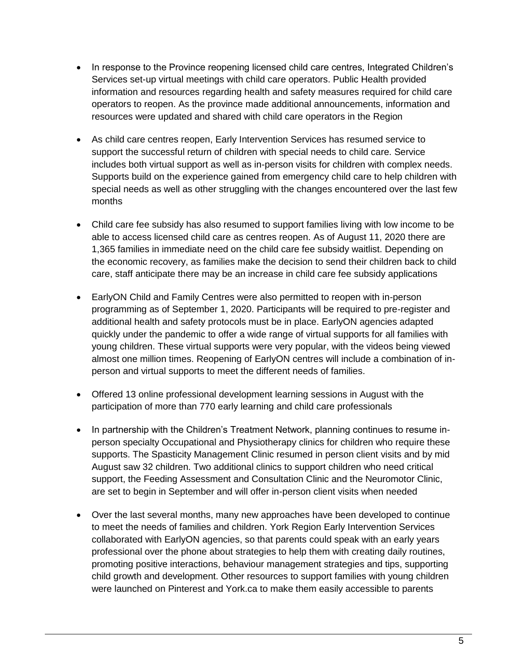- In response to the Province reopening licensed child care centres, Integrated Children's Services set-up virtual meetings with child care operators. Public Health provided information and resources regarding health and safety measures required for child care operators to reopen. As the province made additional announcements, information and resources were updated and shared with child care operators in the Region
- As child care centres reopen, Early Intervention Services has resumed service to support the successful return of children with special needs to child care. Service includes both virtual support as well as in-person visits for children with complex needs. Supports build on the experience gained from emergency child care to help children with special needs as well as other struggling with the changes encountered over the last few months
- Child care fee subsidy has also resumed to support families living with low income to be able to access licensed child care as centres reopen. As of August 11, 2020 there are 1,365 families in immediate need on the child care fee subsidy waitlist. Depending on the economic recovery, as families make the decision to send their children back to child care, staff anticipate there may be an increase in child care fee subsidy applications
- EarlyON Child and Family Centres were also permitted to reopen with in-person programming as of September 1, 2020. Participants will be required to pre-register and additional health and safety protocols must be in place. EarlyON agencies adapted quickly under the pandemic to offer a wide range of virtual supports for all families with young children. These virtual supports were very popular, with the videos being viewed almost one million times. Reopening of EarlyON centres will include a combination of inperson and virtual supports to meet the different needs of families.
- Offered 13 online professional development learning sessions in August with the participation of more than 770 early learning and child care professionals
- In partnership with the Children's Treatment Network, planning continues to resume inperson specialty Occupational and Physiotherapy clinics for children who require these supports. The Spasticity Management Clinic resumed in person client visits and by mid August saw 32 children. Two additional clinics to support children who need critical support, the Feeding Assessment and Consultation Clinic and the Neuromotor Clinic, are set to begin in September and will offer in-person client visits when needed
- Over the last several months, many new approaches have been developed to continue to meet the needs of families and children. York Region Early Intervention Services collaborated with EarlyON agencies, so that parents could speak with an early years professional over the phone about strategies to help them with creating daily routines, promoting positive interactions, behaviour management strategies and tips, supporting child growth and development. Other resources to support families with young children were launched on Pinterest and York.ca to make them easily accessible to parents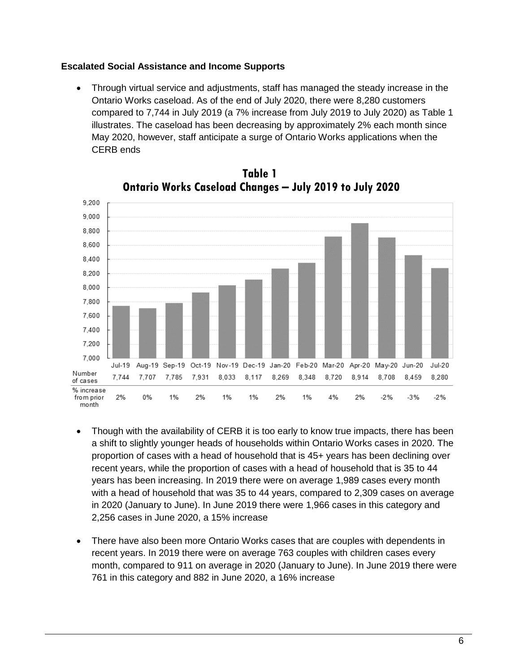#### **Escalated Social Assistance and Income Supports**

 Through virtual service and adjustments, staff has managed the steady increase in the Ontario Works caseload. As of the end of July 2020, there were 8,280 customers compared to 7,744 in July 2019 (a 7% increase from July 2019 to July 2020) as Table 1 illustrates. The caseload has been decreasing by approximately 2% each month since May 2020, however, staff anticipate a surge of Ontario Works applications when the CERB ends





- Though with the availability of CERB it is too early to know true impacts, there has been a shift to slightly younger heads of households within Ontario Works cases in 2020. The proportion of cases with a head of household that is 45+ years has been declining over recent years, while the proportion of cases with a head of household that is 35 to 44 years has been increasing. In 2019 there were on average 1,989 cases every month with a head of household that was 35 to 44 years, compared to 2,309 cases on average in 2020 (January to June). In June 2019 there were 1,966 cases in this category and 2,256 cases in June 2020, a 15% increase
- There have also been more Ontario Works cases that are couples with dependents in recent years. In 2019 there were on average 763 couples with children cases every month, compared to 911 on average in 2020 (January to June). In June 2019 there were 761 in this category and 882 in June 2020, a 16% increase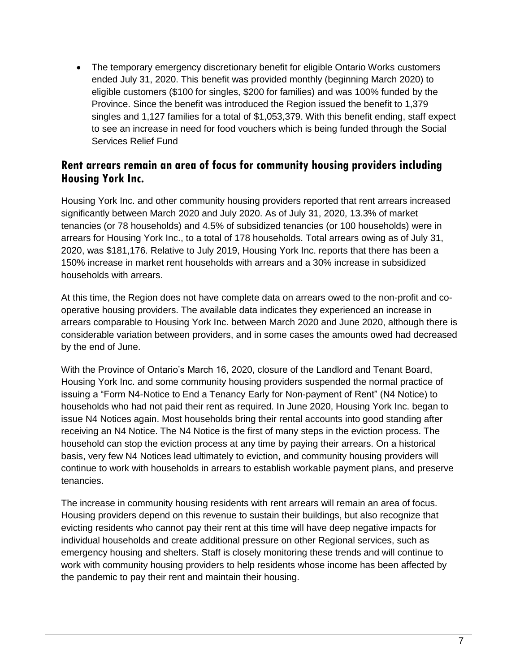The temporary emergency discretionary benefit for eligible Ontario Works customers ended July 31, 2020. This benefit was provided monthly (beginning March 2020) to eligible customers (\$100 for singles, \$200 for families) and was 100% funded by the Province. Since the benefit was introduced the Region issued the benefit to 1,379 singles and 1,127 families for a total of \$1,053,379. With this benefit ending, staff expect to see an increase in need for food vouchers which is being funded through the Social Services Relief Fund

#### **Rent arrears remain an area of focus for community housing providers including Housing York Inc.**

Housing York Inc. and other community housing providers reported that rent arrears increased significantly between March 2020 and July 2020. As of July 31, 2020, 13.3% of market tenancies (or 78 households) and 4.5% of subsidized tenancies (or 100 households) were in arrears for Housing York Inc., to a total of 178 households. Total arrears owing as of July 31, 2020, was \$181,176. Relative to July 2019, Housing York Inc. reports that there has been a 150% increase in market rent households with arrears and a 30% increase in subsidized households with arrears.

At this time, the Region does not have complete data on arrears owed to the non-profit and cooperative housing providers. The available data indicates they experienced an increase in arrears comparable to Housing York Inc. between March 2020 and June 2020, although there is considerable variation between providers, and in some cases the amounts owed had decreased by the end of June.

With the Province of Ontario's March 16, 2020, closure of the Landlord and Tenant Board, Housing York Inc. and some community housing providers suspended the normal practice of issuing a "Form N4-Notice to End a Tenancy Early for Non-payment of Rent" (N4 Notice) to households who had not paid their rent as required. In June 2020, Housing York Inc. began to issue N4 Notices again. Most households bring their rental accounts into good standing after receiving an N4 Notice. The N4 Notice is the first of many steps in the eviction process. The household can stop the eviction process at any time by paying their arrears. On a historical basis, very few N4 Notices lead ultimately to eviction, and community housing providers will continue to work with households in arrears to establish workable payment plans, and preserve tenancies.

The increase in community housing residents with rent arrears will remain an area of focus. Housing providers depend on this revenue to sustain their buildings, but also recognize that evicting residents who cannot pay their rent at this time will have deep negative impacts for individual households and create additional pressure on other Regional services, such as emergency housing and shelters. Staff is closely monitoring these trends and will continue to work with community housing providers to help residents whose income has been affected by the pandemic to pay their rent and maintain their housing.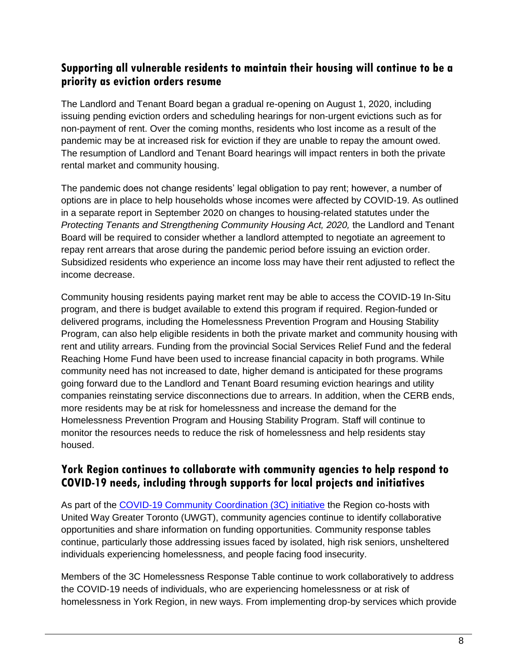## **Supporting all vulnerable residents to maintain their housing will continue to be a priority as eviction orders resume**

The Landlord and Tenant Board began a gradual re-opening on August 1, 2020, including issuing pending eviction orders and scheduling hearings for non-urgent evictions such as for non-payment of rent. Over the coming months, residents who lost income as a result of the pandemic may be at increased risk for eviction if they are unable to repay the amount owed. The resumption of Landlord and Tenant Board hearings will impact renters in both the private rental market and community housing.

The pandemic does not change residents' legal obligation to pay rent; however, a number of options are in place to help households whose incomes were affected by COVID-19. As outlined in a separate report in September 2020 on changes to housing-related statutes under the *Protecting Tenants and Strengthening Community Housing Act, 2020,* the Landlord and Tenant Board will be required to consider whether a landlord attempted to negotiate an agreement to repay rent arrears that arose during the pandemic period before issuing an eviction order. Subsidized residents who experience an income loss may have their rent adjusted to reflect the income decrease.

Community housing residents paying market rent may be able to access the COVID-19 In-Situ program, and there is budget available to extend this program if required. Region-funded or delivered programs, including the Homelessness Prevention Program and Housing Stability Program, can also help eligible residents in both the private market and community housing with rent and utility arrears. Funding from the provincial Social Services Relief Fund and the federal Reaching Home Fund have been used to increase financial capacity in both programs. While community need has not increased to date, higher demand is anticipated for these programs going forward due to the Landlord and Tenant Board resuming eviction hearings and utility companies reinstating service disconnections due to arrears. In addition, when the CERB ends, more residents may be at risk for homelessness and increase the demand for the Homelessness Prevention Program and Housing Stability Program. Staff will continue to monitor the resources needs to reduce the risk of homelessness and help residents stay housed.

## **York Region continues to collaborate with community agencies to help respond to COVID-19 needs, including through supports for local projects and initiatives**

As part of the [COVID-19 Community Coordination \(3C\) initiative](https://www.york.ca/wps/portal/yorkhome/newsroom/CampaignsProjects/covid19communitycoordinationinitiative/!ut/p/z1/tZhdU6swEIZ_y7nwksmGJJBeItYCtaKtVcuNkwJtowKVYrX__qTOOeP5sB9Ou9xAYPOwefedzAJJyD1JSrXUU9XoqlTPZjxKnAdoCR60BhBB3DoDL4yvL9puRAcOJ3cfAbbNnYD6JiCIJYTn7pU4kwGFrk2SPx93zlsuhLeD4FJ0BAXqkFuSkGSe6oyM7IntjpmQFuV0bHHGJpZSZpimmVBjSpni-To6LZt5MyOjVf2QVmWTl80JrKr6yQwWjW5eP26o5-dUFXOlp-VCldm8rh7ztFmcQFotdUZbaVUUr6VuVmlV1ZkuPxaszQ1trpb5v-v6P_FkH11gw-HBnvM3ByTb8XdrpXZk8HdtvijdruKNTJLuxoDIrGKp8zcyLKu6MGYafNY6l2osWyAsKqS0eOZyq5WCbeVKADgic8aZTQLY9QbnwDfswAtUPANcPK44jKHiT3HFObVx8RQXj6t9H9f3fVzt--5x8XB7xg2-F9DLuEtlfJzSutL3Aq8DV3AzdOG67XLpXPSuLoSDmz1DxXPAxVNcvI2K7x5HnCgEn3pd43vWZuDZoS9PWSQvXdzsOa5zusfJPvQ6YRAYcWIufdPkxF5kuxJ8ZHF8XN_7h2Yf7erkTJ9v1z2_NzVY1cwsXU4qcl_mb4u6qor1Y_348pJ4pvtet9zvDbnf2n7PqiI_gd_zP69-LXRTX9vbYrK9Pg-2b67n9lHwm7Jvc1w8xcW7qPghrjhDBxfPUPEUcPG4vqe4xqS4xgwONWa061v-27vnoT8vvt7N95w8L4aFZCutrae-fLuZzKbFQ6_NxNFPjRh_e8bI-_ETEY9HLA!!/dz/d5/L2dBISEvZ0FBIS9nQSEh/#.XwI3QnnsY2z) the Region co-hosts with United Way Greater Toronto (UWGT), community agencies continue to identify collaborative opportunities and share information on funding opportunities. Community response tables continue, particularly those addressing issues faced by isolated, high risk seniors, unsheltered individuals experiencing homelessness, and people facing food insecurity.

Members of the 3C Homelessness Response Table continue to work collaboratively to address the COVID-19 needs of individuals, who are experiencing homelessness or at risk of homelessness in York Region, in new ways. From implementing drop-by services which provide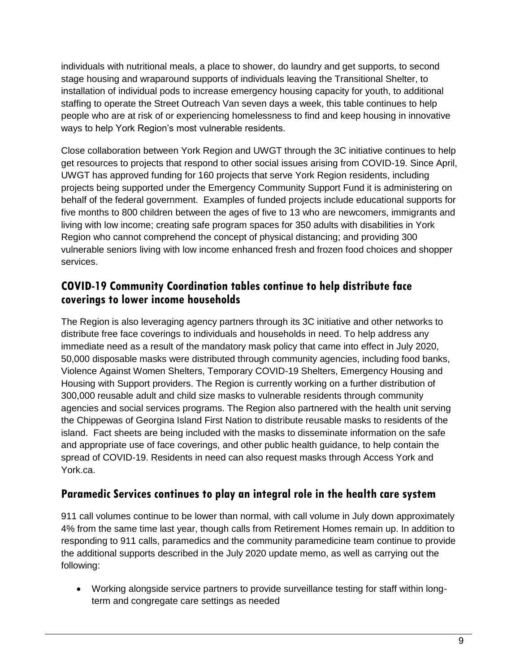individuals with nutritional meals, a place to shower, do laundry and get supports, to second stage housing and wraparound supports of individuals leaving the Transitional Shelter, to installation of individual pods to increase emergency housing capacity for youth, to additional staffing to operate the Street Outreach Van seven days a week, this table continues to help people who are at risk of or experiencing homelessness to find and keep housing in innovative ways to help York Region's most vulnerable residents.

Close collaboration between York Region and UWGT through the 3C initiative continues to help get resources to projects that respond to other social issues arising from COVID-19. Since April, UWGT has approved funding for 160 projects that serve York Region residents, including projects being supported under the Emergency Community Support Fund it is administering on behalf of the federal government. Examples of funded projects include educational supports for five months to 800 children between the ages of five to 13 who are newcomers, immigrants and living with low income; creating safe program spaces for 350 adults with disabilities in York Region who cannot comprehend the concept of physical distancing; and providing 300 vulnerable seniors living with low income enhanced fresh and frozen food choices and shopper services.

# **COVID-19 Community Coordination tables continue to help distribute face coverings to lower income households**

The Region is also leveraging agency partners through its 3C initiative and other networks to distribute free face coverings to individuals and households in need. To help address any immediate need as a result of the mandatory mask policy that came into effect in July 2020, 50,000 disposable masks were distributed through community agencies, including food banks, Violence Against Women Shelters, Temporary COVID-19 Shelters, Emergency Housing and Housing with Support providers. The Region is currently working on a further distribution of 300,000 reusable adult and child size masks to vulnerable residents through community agencies and social services programs. The Region also partnered with the health unit serving the Chippewas of Georgina Island First Nation to distribute reusable masks to residents of the island. Fact sheets are being included with the masks to disseminate information on the safe and appropriate use of face coverings, and other public health guidance, to help contain the spread of COVID-19. Residents in need can also request masks through Access York and York.ca.

#### **Paramedic Services continues to play an integral role in the health care system**

911 call volumes continue to be lower than normal, with call volume in July down approximately 4% from the same time last year, though calls from Retirement Homes remain up. In addition to responding to 911 calls, paramedics and the community paramedicine team continue to provide the additional supports described in the July 2020 update memo, as well as carrying out the following:

 Working alongside service partners to provide surveillance testing for staff within longterm and congregate care settings as needed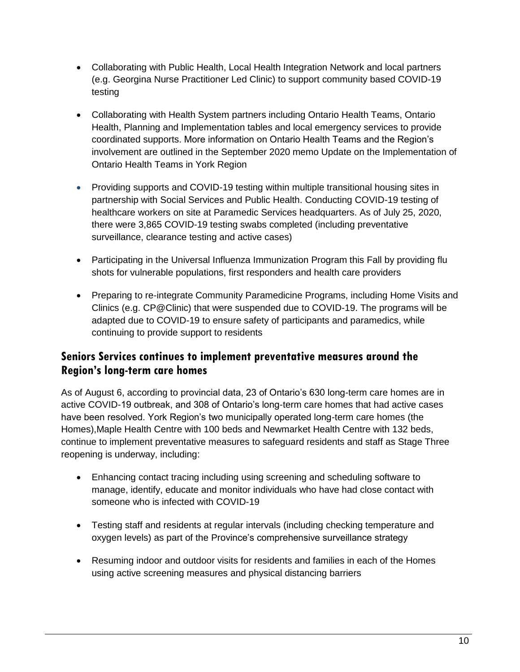- Collaborating with Public Health, Local Health Integration Network and local partners (e.g. Georgina Nurse Practitioner Led Clinic) to support community based COVID-19 testing
- Collaborating with Health System partners including Ontario Health Teams, Ontario Health, Planning and Implementation tables and local emergency services to provide coordinated supports. More information on Ontario Health Teams and the Region's involvement are outlined in the September 2020 memo Update on the Implementation of Ontario Health Teams in York Region
- Providing supports and COVID-19 testing within multiple transitional housing sites in partnership with Social Services and Public Health. Conducting COVID-19 testing of healthcare workers on site at Paramedic Services headquarters. As of July 25, 2020, there were 3,865 COVID-19 testing swabs completed (including preventative surveillance, clearance testing and active cases)
- Participating in the Universal Influenza Immunization Program this Fall by providing flu shots for vulnerable populations, first responders and health care providers
- Preparing to re-integrate Community Paramedicine Programs, including Home Visits and Clinics (e.g. CP@Clinic) that were suspended due to COVID-19. The programs will be adapted due to COVID-19 to ensure safety of participants and paramedics, while continuing to provide support to residents

## **Seniors Services continues to implement preventative measures around the Region's long-term care homes**

As of August 6, according to provincial data, 23 of Ontario's 630 long-term care homes are in active COVID-19 outbreak, and 308 of Ontario's long-term care homes that had active cases have been resolved. York Region's two municipally operated long-term care homes (the Homes),Maple Health Centre with 100 beds and Newmarket Health Centre with 132 beds, continue to implement preventative measures to safeguard residents and staff as Stage Three reopening is underway, including:

- Enhancing contact tracing including using screening and scheduling software to manage, identify, educate and monitor individuals who have had close contact with someone who is infected with COVID-19
- Testing staff and residents at regular intervals (including checking temperature and oxygen levels) as part of the Province's comprehensive surveillance strategy
- Resuming indoor and outdoor visits for residents and families in each of the Homes using active screening measures and physical distancing barriers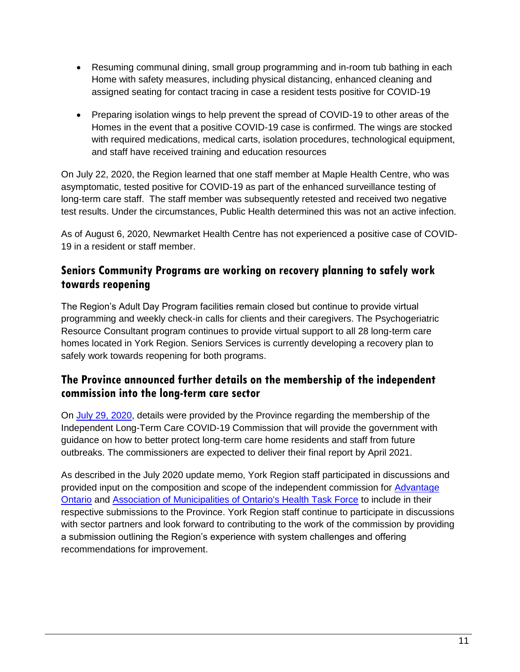- Resuming communal dining, small group programming and in-room tub bathing in each Home with safety measures, including physical distancing, enhanced cleaning and assigned seating for contact tracing in case a resident tests positive for COVID-19
- Preparing isolation wings to help prevent the spread of COVID-19 to other areas of the Homes in the event that a positive COVID-19 case is confirmed. The wings are stocked with required medications, medical carts, isolation procedures, technological equipment, and staff have received training and education resources

On July 22, 2020, the Region learned that one staff member at Maple Health Centre, who was asymptomatic, tested positive for COVID-19 as part of the enhanced surveillance testing of long-term care staff. The staff member was subsequently retested and received two negative test results. Under the circumstances, Public Health determined this was not an active infection.

As of August 6, 2020, Newmarket Health Centre has not experienced a positive case of COVID-19 in a resident or staff member.

## **Seniors Community Programs are working on recovery planning to safely work towards reopening**

The Region's Adult Day Program facilities remain closed but continue to provide virtual programming and weekly check-in calls for clients and their caregivers. The Psychogeriatric Resource Consultant program continues to provide virtual support to all 28 long-term care homes located in York Region. Seniors Services is currently developing a recovery plan to safely work towards reopening for both programs.

## **The Province announced further details on the membership of the independent commission into the long-term care sector**

On [July 29, 2020,](https://news.ontario.ca/opo/en/2020/07/ontario-launches-independent-long-term-care-covid-19-commission.html?utm_source=ondemand&utm_medium=email&utm_campaign=p) details were provided by the Province regarding the membership of the Independent Long-Term Care COVID-19 Commission that will provide the government with guidance on how to better protect long-term care home residents and staff from future outbreaks. The commissioners are expected to deliver their final report by April 2021.

As described in the July 2020 update memo, York Region staff participated in discussions and provided input on the composition and scope of the independent commission for **Advantage** [Ontario](https://www.amo.on.ca/AMO-PDFs/Reports/2020/Attachment-10-Submission-on-Composition-and-Scope.aspx) and [Association of Municipalities of Ontario's Health Task Force](https://www.york.ca/wps/wcm/connect/yorkpublic/64205e11-a921-4ee2-91de-aa42d4ad34ab/AMO-attachment-1.pdf?MOD=AJPERES) to include in their respective submissions to the Province. York Region staff continue to participate in discussions with sector partners and look forward to contributing to the work of the commission by providing a submission outlining the Region's experience with system challenges and offering recommendations for improvement.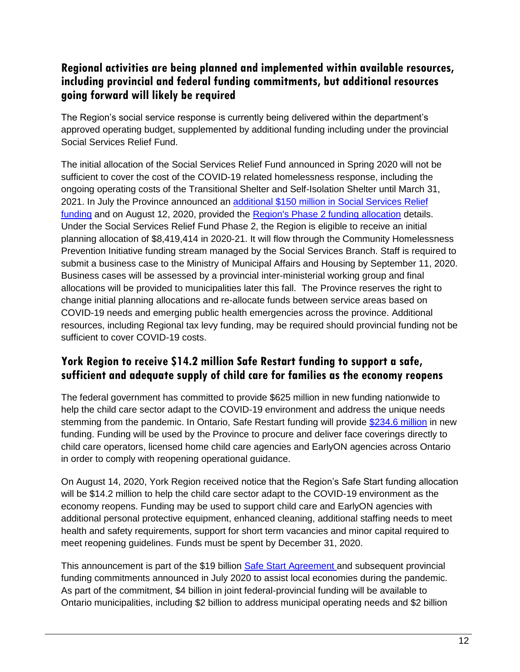# **Regional activities are being planned and implemented within available resources, including provincial and federal funding commitments, but additional resources going forward will likely be required**

The Region's social service response is currently being delivered within the department's approved operating budget, supplemented by additional funding including under the provincial Social Services Relief Fund.

The initial allocation of the Social Services Relief Fund announced in Spring 2020 will not be sufficient to cover the cost of the COVID-19 related homelessness response, including the ongoing operating costs of the Transitional Shelter and Self-Isolation Shelter until March 31, 2021. In July the Province announced an [additional \\$150 million in Social Services Relief](https://news.ontario.ca/opo/en/2020/07/ontario-provides-additional-funding-to-support-municipalities-and-urban-indigenous-community-partner.html)  [funding](https://news.ontario.ca/opo/en/2020/07/ontario-provides-additional-funding-to-support-municipalities-and-urban-indigenous-community-partner.html) and on August 12, 2020, provided the [Region's Phase 2 funding allocation](https://www.york.ca/wps/wcm/connect/yorkpublic/f5bcefad-cac6-47d7-a463-99e0b455ecf6/RegionalMunicipalityofYork-SSRF.pdf?MOD=AJPERES) details. Under the Social Services Relief Fund Phase 2, the Region is eligible to receive an initial planning allocation of \$8,419,414 in 2020-21. It will flow through the Community Homelessness Prevention Initiative funding stream managed by the Social Services Branch. Staff is required to submit a business case to the Ministry of Municipal Affairs and Housing by September 11, 2020. Business cases will be assessed by a provincial inter-ministerial working group and final allocations will be provided to municipalities later this fall. The Province reserves the right to change initial planning allocations and re-allocate funds between service areas based on COVID-19 needs and emerging public health emergencies across the province. Additional resources, including Regional tax levy funding, may be required should provincial funding not be sufficient to cover COVID-19 costs.

# **York Region to receive \$14.2 million Safe Restart funding to support a safe, sufficient and adequate supply of child care for families as the economy reopens**

The federal government has committed to provide \$625 million in new funding nationwide to help the child care sector adapt to the COVID-19 environment and address the unique needs stemming from the pandemic. In Ontario, Safe Restart funding will provide [\\$234.6 million](https://news.ontario.ca/opo/en/2020/08/historic-agreement-delivers-over-230-million-for-child-care.html?utm_source=ondemand&utm_medium=email&utm_campaign=p) in new funding. Funding will be used by the Province to procure and deliver face coverings directly to child care operators, licensed home child care agencies and EarlyON agencies across Ontario in order to comply with reopening operational guidance.

On August 14, 2020, York Region received notice that the Region's Safe Start funding allocation will be \$14.2 million to help the child care sector adapt to the COVID-19 environment as the economy reopens. Funding may be used to support child care and EarlyON agencies with additional personal protective equipment, enhanced cleaning, additional staffing needs to meet health and safety requirements, support for short term vacancies and minor capital required to meet reopening guidelines. Funds must be spent by December 31, 2020.

This announcement is part of the \$19 billion [Safe Start Agreement](https://www.canada.ca/en/office-infrastructure/news/2020/07/safe-restart-agreement-helps-canadian-communities-get-back-on-their-feet.html) and subsequent provincial funding commitments announced in July 2020 to assist local economies during the pandemic. As part of the commitment, \$4 billion in joint federal-provincial funding will be available to Ontario municipalities, including \$2 billion to address municipal operating needs and \$2 billion